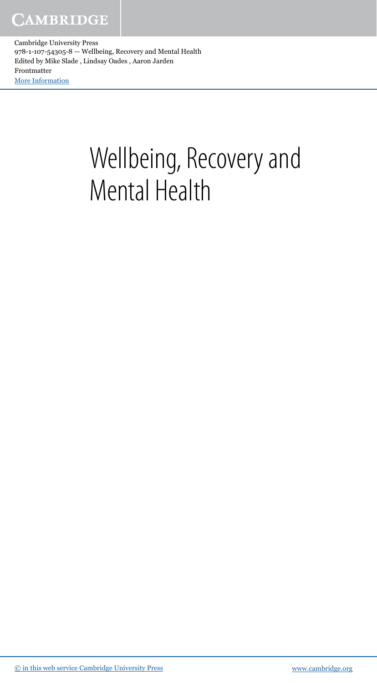Cambridge University Press 978-1-107-54305-8 — Wellbeing, Recovery and Mental Health Edited by Mike Slade , Lindsay Oades , Aaron Jarden Frontmatter [More Information](www.cambridge.org/9781107543058)

# Wellbeing, Recovery and Mental Health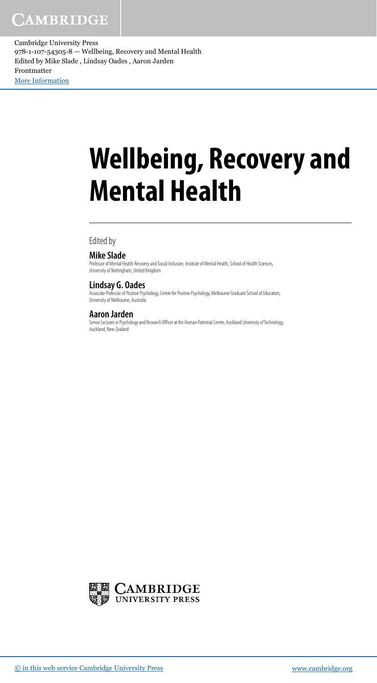Cambridge University Press 978-1-107-54305-8 — Wellbeing, Recovery and Mental Health Edited by Mike Slade , Lindsay Oades , Aaron Jarden Frontmatter [More Information](www.cambridge.org/9781107543058)

# **Wellbeing, Recovery and Mental Health**

#### Edited by

#### **Mike Slade**

 Professor of Mental Health Recovery and Social Inclusion, Institute of Mental Health, School of Health Sciences, University of Nottingham, United Kingdom

#### **Lindsay G. Oades**

 Associate Professor of Positive Psychology, Centre for Positive Psychology, Melbourne Graduate School of Education, University of Melbourne, Australia

#### **Aaron Jarden**

Senior Lecturer in Psychology and Research Officer at the Human Potential Centre, Auckland University of Technology, Auckland, New Zealand

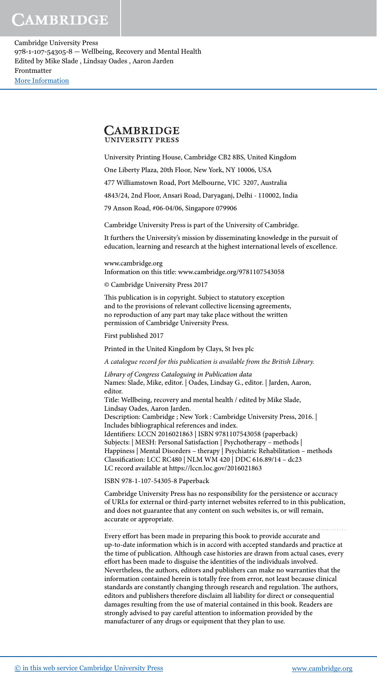Cambridge University Press 978-1-107-54305-8 — Wellbeing, Recovery and Mental Health Edited by Mike Slade , Lindsay Oades , Aaron Jarden Frontmatter [More Information](www.cambridge.org/9781107543058)

#### **CAMBRIDGE UNIVERSITY PRESS**

University Printing House, Cambridge CB2 8BS, United Kingdom

One Liberty Plaza, 20th Floor, New York, NY 10006, USA

477 Williamstown Road, Port Melbourne, VIC 3207, Australia

4843/24, 2nd Floor, Ansari Road, Daryaganj, Delhi - 110002, India

79 Anson Road, #06-04/06, Singapore 079906

Cambridge University Press is part of the University of Cambridge.

 It furthers the University's mission by disseminating knowledge in the pursuit of education, learning and research at the highest international levels of excellence.

 www.cambridge.org Information on this title: www.cambridge.org/9781107543058

© Cambridge University Press 2017

This publication is in copyright. Subject to statutory exception and to the provisions of relevant collective licensing agreements, no reproduction of any part may take place without the written permission of Cambridge University Press.

First published 2017

Printed in the United Kingdom by Clays, St Ives plc

A catalogue record for this publication is available from the British Library.

Library of Congress Cataloguing in Publication data Names: Slade, Mike, editor. | Oades, Lindsay G., editor. | Jarden, Aaron, editor. Title: Wellbeing, recovery and mental health / edited by Mike Slade, Lindsay Oades, Aaron Jarden. Description: Cambridge ; New York : Cambridge University Press, 2016. | Includes bibliographical references and index. Identifiers: LCCN 2016021863 | ISBN 9781107543058 (paperback) Subjects: | MESH: Personal Satisfaction | Psychotherapy – methods | Happiness | Mental Disorders – therapy | Psychiatric Rehabilitation – methods Classification: LCC RC480 | NLM WM 420 | DDC 616.89/14 - dc23 LC record available at https://lccn.loc.gov/2016021863

ISBN 978-1-107-54305-8 Paperback

 Cambridge University Press has no responsibility for the persistence or accuracy of URLs for external or third-party internet websites referred to in this publication, and does not guarantee that any content on such websites is, or will remain, accurate or appropriate.

Every effort has been made in preparing this book to provide accurate and up-to-date information which is in accord with accepted standards and practice at the time of publication. Although case histories are drawn from actual cases, every effort has been made to disguise the identities of the individuals involved. Nevertheless, the authors, editors and publishers can make no warranties that the information contained herein is totally free from error, not least because clinical standards are constantly changing through research and regulation. The authors, editors and publishers therefore disclaim all liability for direct or consequential damages resulting from the use of material contained in this book. Readers are strongly advised to pay careful attention to information provided by the manufacturer of any drugs or equipment that they plan to use.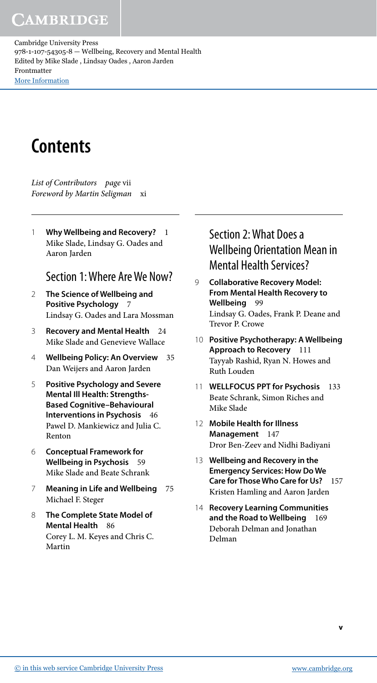Cambridge University Press 978-1-107-54305-8 — Wellbeing, Recovery and Mental Health Edited by Mike Slade , Lindsay Oades , Aaron Jarden Frontmatter [More Information](www.cambridge.org/9781107543058)

# **Contents**

List of Contributors page vii Foreword by Martin Seligman xi

 1 **Why Wellbeing and Recovery?** 1 Mike Slade, Lindsay G. Oades and Aaron Jarden

### Section 1: Where Are We Now?

- 2 **The Science of Wellbeing and Positive Psychology** 7 Lindsay G. Oades and Lara Mossman
- 3 **Recovery and Mental Health** 24 Mike Slade and Genevieve Wallace
- 4 **Wellbeing Policy: An Overview** 35 Dan Weijers and Aaron Jarden
- 5 **Positive Psychology and Severe Mental Ill Health: Strengths-Based Cognitive–Behavioural Interventions in Psychosis** 46 Pawel D. Mankiewicz and Julia C. Renton
- 6 **Conceptual Framework for Wellbeing in Psychosis** 59 Mike Slade and Beate Schrank
- 7 **Meaning in Life and Wellbeing** 75 Michael F. Steger
- 8 **The Complete State Model of Mental Health** 86 Corey L. M. Keyes and Chris C. Martin

### Section 2: What Does a Wellbeing Orientation Mean in Mental Health Services?

- 9 **Collaborative Recovery Model: From Mental Health Recovery to Wellbeing** 99 Lindsay G. Oades, Frank P. Deane and Trevor P. Crowe
- 10 **Positive Psychotherapy: A Wellbeing Approach to Recovery** 111 Tayyab Rashid, Ryan N. Howes and Ruth Louden
- 11 **WELLFOCUS PPT for Psychosis** 133 Beate Schrank, Simon Riches and Mike Slade
- 12 **Mobile Health for Illness Management** 147 Dror Ben-Zeev and Nidhi Badiyani
- 13 **Wellbeing and Recovery in the Emergency Services: How Do We Care for Those Who Care for Us?** 157 Kristen Hamling and Aaron Jarden
- 14 **Recovery Learning Communities and the Road to Wellbeing** 169 Deborah Delman and Jonathan Delman

**v**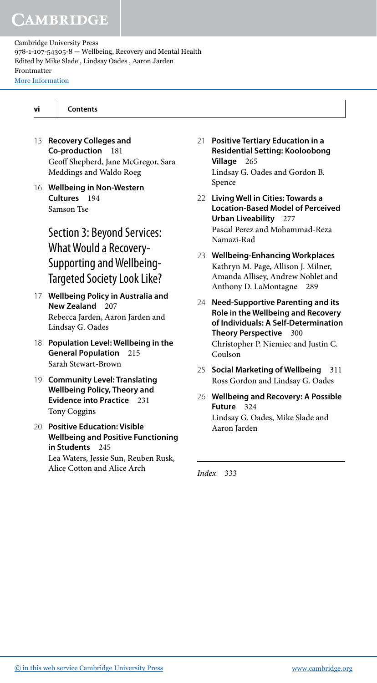Cambridge University Press 978-1-107-54305-8 — Wellbeing, Recovery and Mental Health Edited by Mike Slade , Lindsay Oades , Aaron Jarden Frontmatter [More Information](www.cambridge.org/9781107543058)

#### **vi Contents**

- 15 **Recovery Colleges and Co-production** 181 Geoff Shepherd, Jane McGregor, Sara Meddings and Waldo Roeg
- 16 **Wellbeing in Non-Western Cultures** 194 Samson Tse

 Section 3: Beyond Services: What Would a Recovery-Supporting and Wellbeing-Targeted Society Look Like?

- 17 **Wellbeing Policy in Australia and New Zealand** 207 Rebecca Jarden, Aaron Jarden and Lindsay G. Oades
- 18 **Population Level: Wellbeing in the General Population** 215 Sarah Stewart-Brown
- 19 **Community Level: Translating Wellbeing Policy, Theory and Evidence into Practice** 231 Tony Coggins

 20 **Positive Education: Visible Wellbeing and Positive Functioning in Students** 245 Lea Waters, Jessie Sun, Reuben Rusk, Alice Cotton and Alice Arch

- 21 **Positive Tertiary Education in a Residential Setting: Kooloobong Village** 265 Lindsay G. Oades and Gordon B. Spence
- 22 **Living Well in Cities: Towards a Location-Based Model of Perceived Urban Liveability** 277 Pascal Perez and Mohammad-Reza Namazi-Rad
- 23 **Wellbeing-Enhancing Workplaces**  Kathryn M. Page, Allison J. Milner, Amanda Allisey, Andrew Noblet and Anthony D. LaMontagne 289
- 24 **Need-Supportive Parenting and its Role in the Wellbeing and Recovery of Individuals: A Self-Determination Theory Perspective** 300 Christopher P. Niemiec and Justin C. Coulson
- 25 **Social Marketing of Wellbeing** 311 Ross Gordon and Lindsay G. Oades
- 26 **Wellbeing and Recovery: A Possible Future** 324 Lindsay G. Oades, Mike Slade and Aaron Jarden

Index 333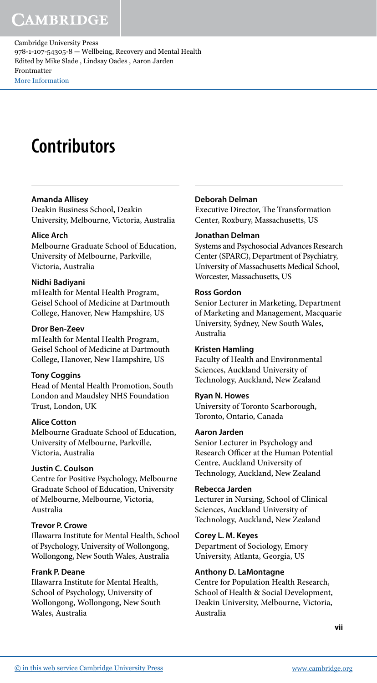Cambridge University Press 978-1-107-54305-8 — Wellbeing, Recovery and Mental Health Edited by Mike Slade , Lindsay Oades , Aaron Jarden Frontmatter [More Information](www.cambridge.org/9781107543058)

# **Contributors**

#### **Amanda Allisey**

 Deakin Business School, Deakin University, Melbourne, Victoria, Australia

#### **Alice Arch**

 Melbourne Graduate School of Education, University of Melbourne, Parkville, Victoria, Australia

#### **Nidhi Badiyani**

 mHealth for Mental Health Program, Geisel School of Medicine at Dartmouth College, Hanover, New Hampshire, US

#### **Dror Ben-Zeev**

 mHealth for Mental Health Program, Geisel School of Medicine at Dartmouth College, Hanover, New Hampshire, US

#### **Tony Coggins**

 Head of Mental Health Promotion, South London and Maudsley NHS Foundation Trust, London, UK

#### **Alice Cotton**

 Melbourne Graduate School of Education, University of Melbourne, Parkville, Victoria, Australia

#### **Justin C. Coulson**

 Centre for Positive Psychology, Melbourne Graduate School of Education, University of Melbourne, Melbourne, Victoria, Australia

#### **Trevor P. Crowe**

 Illawarra Institute for Mental Health, School of Psychology, University of Wollongong, Wollongong, New South Wales, Australia

#### **Frank P. Deane**

 Illawarra Institute for Mental Health, School of Psychology, University of Wollongong, Wollongong, New South Wales, Australia

#### **Deborah Delman**

Executive Director, The Transformation Center, Roxbury, Massachusetts, US

#### **Jonathan Delman**

 Systems and Psychosocial Advances Research Center (SPARC), Department of Psychiatry, University of Massachusetts Medical School, Worcester, Massachusetts, US

#### **Ross Gordon**

 Senior Lecturer in Marketing, Department of Marketing and Management, Macquarie University, Sydney, New South Wales, Australia

#### **Kristen Hamling**

 Faculty of Health and Environmental Sciences, Auckland University of Technology, Auckland, New Zealand

#### **Ryan N. Howes**

 University of Toronto Scarborough, Toronto, Ontario, Canada

#### **Aaron Jarden**

 Senior Lecturer in Psychology and Research Officer at the Human Potential Centre, Auckland University of Technology, Auckland, New Zealand

#### **Rebecca Jarden**

 Lecturer in Nursing, School of Clinical Sciences, Auckland University of Technology, Auckland, New Zealand

#### **Corey L. M. Keyes**

 Department of Sociology, Emory University, Atlanta, Georgia, US

#### **Anthony D. LaMontagne**

 Centre for Population Health Research, School of Health & Social Development, Deakin University, Melbourne, Victoria, Australia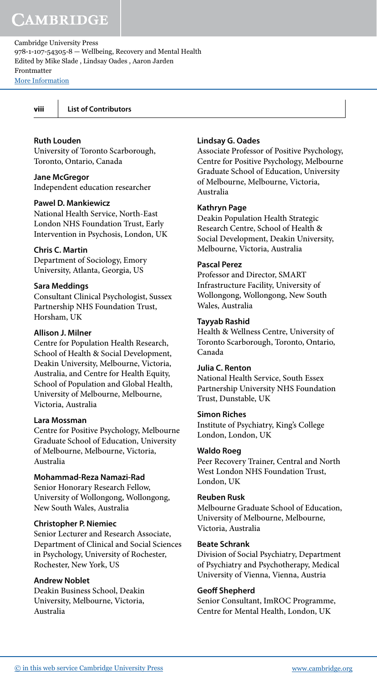Cambridge University Press 978-1-107-54305-8 — Wellbeing, Recovery and Mental Health Edited by Mike Slade , Lindsay Oades , Aaron Jarden Frontmatter [More Information](www.cambridge.org/9781107543058)

#### **viii List of Contributors**

#### **Ruth Louden**

 University of Toronto Scarborough, Toronto, Ontario, Canada

#### **Jane McGregor**  Independent education researcher

#### **Pawel D. Mankiewicz**

 National Health Service, North-East London NHS Foundation Trust, Early Intervention in Psychosis, London, UK

#### **Chris C. Martin**

 Department of Sociology, Emory University, Atlanta, Georgia, US

#### **Sara Meddings**

 Consultant Clinical Psychologist, Sussex Partnership NHS Foundation Trust, Horsham, UK

#### **Allison J. Milner**

 Centre for Population Health Research, School of Health & Social Development, Deakin University, Melbourne, Victoria, Australia, and Centre for Health Equity, School of Population and Global Health, University of Melbourne, Melbourne, Victoria, Australia

#### **Lara Mossman**

 Centre for Positive Psychology, Melbourne Graduate School of Education, University of Melbourne, Melbourne, Victoria, Australia

#### **Mohammad-Reza Namazi-Rad**

 Senior Honorary Research Fellow, University of Wollongong, Wollongong, New South Wales, Australia

#### **Christopher P. Niemiec**

 Senior Lecturer and Research Associate, Department of Clinical and Social Sciences in Psychology, University of Rochester, Rochester, New York, US

#### **Andrew Noblet**

 Deakin Business School, Deakin University, Melbourne, Victoria, Australia

#### **Lindsay G. Oades**

 Associate Professor of Positive Psychology, Centre for Positive Psychology, Melbourne Graduate School of Education, University of Melbourne, Melbourne, Victoria, Australia

#### **Kathryn Page**

 Deakin Population Health Strategic Research Centre, School of Health & Social Development, Deakin University, Melbourne, Victoria, Australia

#### **Pascal Perez**

 Professor and Director, SMART Infrastructure Facility, University of Wollongong, Wollongong, New South Wales, Australia

#### **Tayyab Rashid**

 Health & Wellness Centre, University of Toronto Scarborough, Toronto, Ontario, Canada

#### **Julia C. Renton**

 National Health Service, South Essex Partnership University NHS Foundation Trust, Dunstable, UK

#### **Simon Riches**

 Institute of Psychiatry, King's College London, London, UK

#### **Waldo Roeg**

 Peer Recovery Trainer, Central and North West London NHS Foundation Trust, London, UK

#### **Reuben Rusk**

 Melbourne Graduate School of Education, University of Melbourne, Melbourne, Victoria, Australia

#### **Beate Schrank**

 Division of Social Psychiatry, Department of Psychiatry and Psychotherapy, Medical University of Vienna, Vienna, Austria

#### **Geoff Shepherd**

 Senior Consultant, ImROC Programme, Centre for Mental Health, London, UK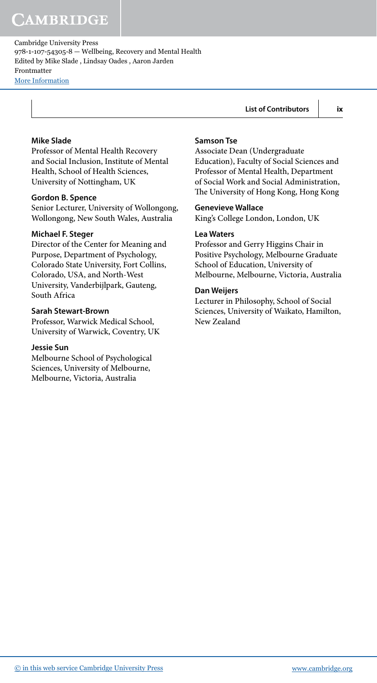Cambridge University Press 978-1-107-54305-8 — Wellbeing, Recovery and Mental Health Edited by Mike Slade , Lindsay Oades , Aaron Jarden Frontmatter [More Information](www.cambridge.org/9781107543058)

**List of Contributors ix**

#### **Mike Slade**

 Professor of Mental Health Recovery and Social Inclusion, Institute of Mental Health, School of Health Sciences, University of Nottingham, UK

#### **Gordon B. Spence**

 Senior Lecturer, University of Wollongong, Wollongong, New South Wales, Australia

#### **Michael F. Steger**

 Director of the Center for Meaning and Purpose, Department of Psychology, Colorado State University, Fort Collins, Colorado, USA, and North-West University, Vanderbijlpark, Gauteng, South Africa

#### **Sarah Stewart-Brown**

 Professor, Warwick Medical School, University of Warwick, Coventry, UK

#### **Jessie Sun**

 Melbourne School of Psychological Sciences, University of Melbourne, Melbourne, Victoria, Australia

#### **Samson Tse**

 Associate Dean (Undergraduate Education), Faculty of Social Sciences and Professor of Mental Health, Department of Social Work and Social Administration, The University of Hong Kong, Hong Kong

#### **Genevieve Wallace**

King's College London, London, UK

#### **Lea Waters**

 Professor and Gerry Higgins Chair in Positive Psychology, Melbourne Graduate School of Education, University of Melbourne, Melbourne, Victoria, Australia

#### **Dan Weijers**

 Lecturer in Philosophy, School of Social Sciences, University of Waikato, Hamilton, New Zealand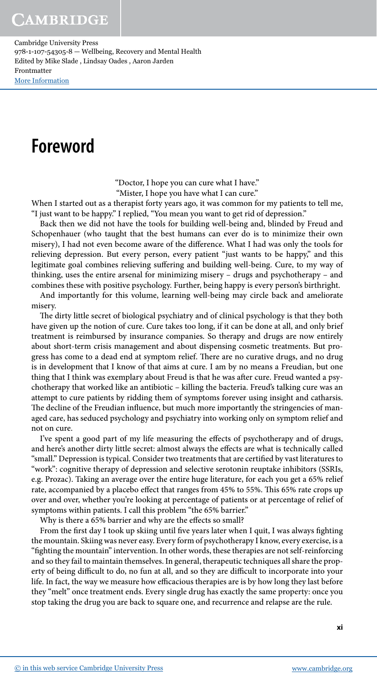Cambridge University Press 978-1-107-54305-8 — Wellbeing, Recovery and Mental Health Edited by Mike Slade , Lindsay Oades , Aaron Jarden Frontmatter [More Information](www.cambridge.org/9781107543058)

## **Foreword**

"Doctor, I hope you can cure what I have."

"Mister, I hope you have what I can cure."

When I started out as a therapist forty years ago, it was common for my patients to tell me, "I just want to be happy." I replied, "You mean you want to get rid of depression."

 Back then we did not have the tools for building well-being and, blinded by Freud and Schopenhauer (who taught that the best humans can ever do is to minimize their own misery), I had not even become aware of the difference. What I had was only the tools for relieving depression. But every person, every patient "just wants to be happy," and this legitimate goal combines relieving suffering and building well-being. Cure, to my way of thinking, uses the entire arsenal for minimizing misery – drugs and psychotherapy – and combines these with positive psychology. Further, being happy is every person's birthright.

 And importantly for this volume, learning well-being may circle back and ameliorate misery.

The dirty little secret of biological psychiatry and of clinical psychology is that they both have given up the notion of cure. Cure takes too long, if it can be done at all, and only brief treatment is reimbursed by insurance companies. So therapy and drugs are now entirely about short-term crisis management and about dispensing cosmetic treatments. But progress has come to a dead end at symptom relief. There are no curative drugs, and no drug is in development that I know of that aims at cure. I am by no means a Freudian, but one thing that I think was exemplary about Freud is that he was after cure. Freud wanted a psychotherapy that worked like an antibiotic – killing the bacteria. Freud's talking cure was an attempt to cure patients by ridding them of symptoms forever using insight and catharsis. The decline of the Freudian influence, but much more importantly the stringencies of managed care, has seduced psychology and psychiatry into working only on symptom relief and not on cure.

I've spent a good part of my life measuring the effects of psychotherapy and of drugs, and here's another dirty little secret: almost always the effects are what is technically called "small." Depression is typical. Consider two treatments that are certified by vast literatures to "work": cognitive therapy of depression and selective serotonin reuptake inhibitors (SSRIs, e.g. Prozac). Taking an average over the entire huge literature, for each you get a 65% relief rate, accompanied by a placebo effect that ranges from 45% to 55%. This 65% rate crops up over and over, whether you're looking at percentage of patients or at percentage of relief of symptoms within patients. I call this problem "the 65% barrier."

Why is there a 65% barrier and why are the effects so small?

From the first day I took up skiing until five years later when I quit, I was always fighting the mountain. Skiing was never easy. Every form of psychotherapy I know, every exercise, is a "fighting the mountain" intervention. In other words, these therapies are not self-reinforcing and so they fail to maintain themselves. In general, therapeutic techniques all share the property of being difficult to do, no fun at all, and so they are difficult to incorporate into your life. In fact, the way we measure how efficacious therapies are is by how long they last before they "melt" once treatment ends. Every single drug has exactly the same property: once you stop taking the drug you are back to square one, and recurrence and relapse are the rule.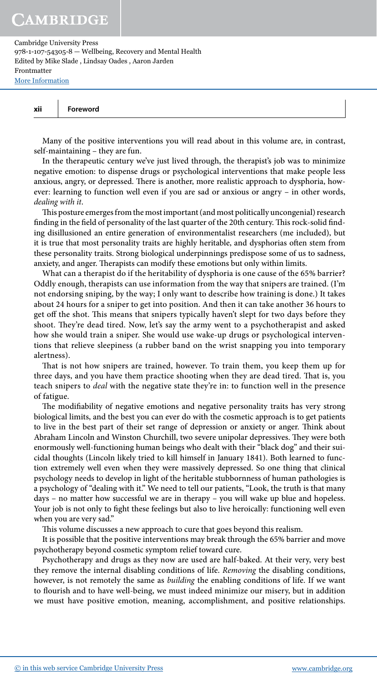Cambridge University Press 978-1-107-54305-8 — Wellbeing, Recovery and Mental Health Edited by Mike Slade , Lindsay Oades , Aaron Jarden Frontmatter [More Information](www.cambridge.org/9781107543058)

|  | Foreword | xii |
|--|----------|-----|
|--|----------|-----|

 Many of the positive interventions you will read about in this volume are, in contrast, self-maintaining – they are fun.

 In the therapeutic century we've just lived through, the therapist's job was to minimize negative emotion: to dispense drugs or psychological interventions that make people less anxious, angry, or depressed. There is another, more realistic approach to dysphoria, however: learning to function well even if you are sad or anxious or angry – in other words, dealing with it.

This posture emerges from the most important (and most politically uncongenial) research finding in the field of personality of the last quarter of the 20th century. This rock-solid finding disillusioned an entire generation of environmentalist researchers (me included), but it is true that most personality traits are highly heritable, and dysphorias often stem from these personality traits. Strong biological underpinnings predispose some of us to sadness, anxiety, and anger. Therapists can modify these emotions but only within limits.

 What can a therapist do if the heritability of dysphoria is one cause of the 65% barrier? Oddly enough, therapists can use information from the way that snipers are trained. (I'm not endorsing sniping, by the way; I only want to describe how training is done.) It takes about 24 hours for a sniper to get into position. And then it can take another 36 hours to get off the shot. This means that snipers typically haven't slept for two days before they shoot. They're dead tired. Now, let's say the army went to a psychotherapist and asked how she would train a sniper. She would use wake-up drugs or psychological interventions that relieve sleepiness (a rubber band on the wrist snapping you into temporary alertness).

That is not how snipers are trained, however. To train them, you keep them up for three days, and you have them practice shooting when they are dead tired. That is, you teach snipers to *deal* with the negative state they're in: to function well in the presence of fatigue.

The modifiability of negative emotions and negative personality traits has very strong biological limits, and the best you can ever do with the cosmetic approach is to get patients to live in the best part of their set range of depression or anxiety or anger. Think about Abraham Lincoln and Winston Churchill, two severe unipolar depressives. They were both enormously well-functioning human beings who dealt with their "black dog" and their suicidal thoughts (Lincoln likely tried to kill himself in January 1841). Both learned to function extremely well even when they were massively depressed. So one thing that clinical psychology needs to develop in light of the heritable stubbornness of human pathologies is a psychology of "dealing with it." We need to tell our patients, "Look, the truth is that many days – no matter how successful we are in therapy – you will wake up blue and hopeless. Your job is not only to fight these feelings but also to live heroically: functioning well even when you are very sad."

This volume discusses a new approach to cure that goes beyond this realism.

 It is possible that the positive interventions may break through the 65% barrier and move psychotherapy beyond cosmetic symptom relief toward cure.

 Psychotherapy and drugs as they now are used are half-baked. At their very, very best they remove the internal disabling conditions of life. Removing the disabling conditions, however, is not remotely the same as *building* the enabling conditions of life. If we want to flourish and to have well-being, we must indeed minimize our misery, but in addition we must have positive emotion, meaning, accomplishment, and positive relationships.